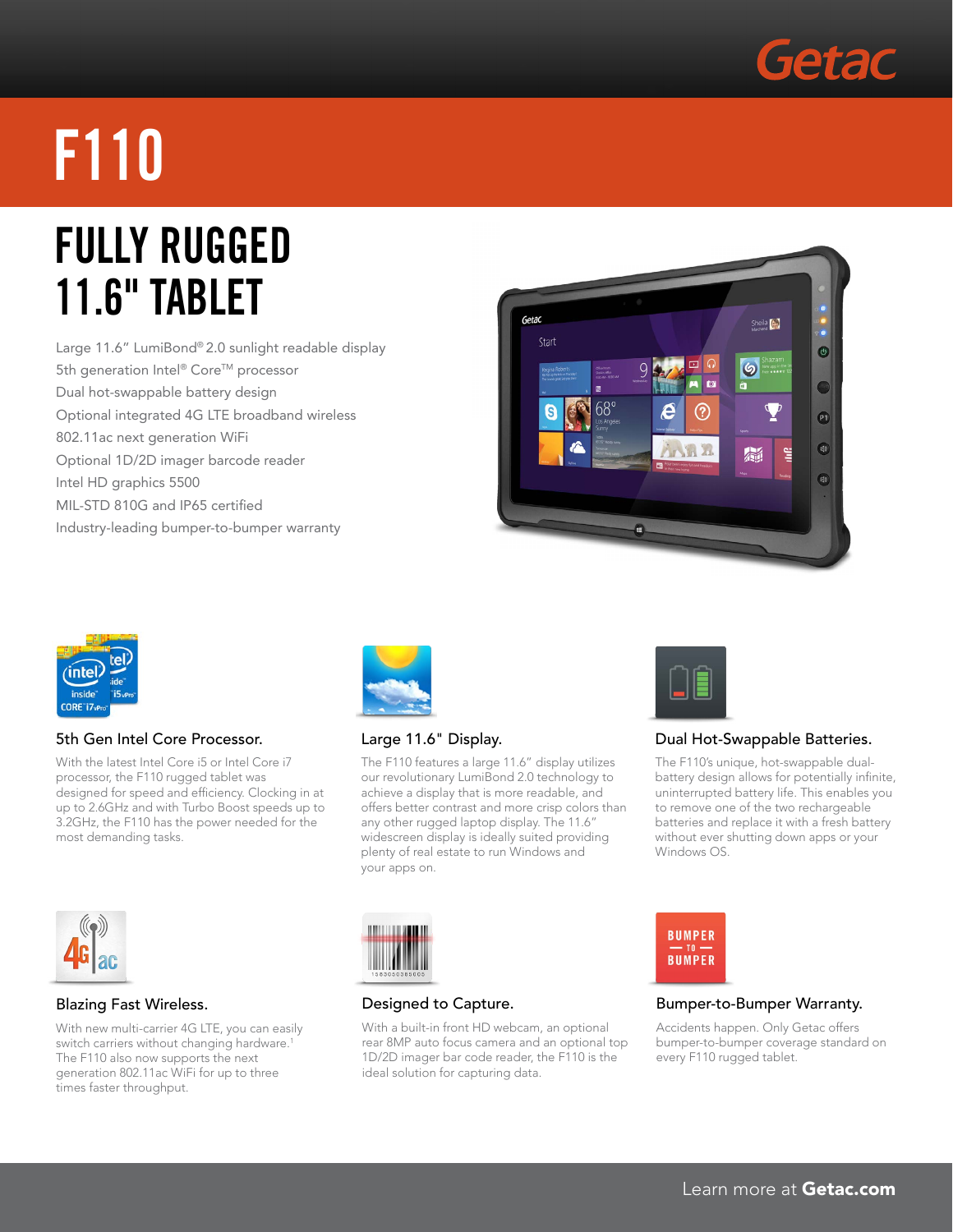

# **f110**

### **FULLY Rugged 11.6" Tablet**

Large 11.6" LumiBond® 2.0 sunlight readable display 5th generation Intel® Core™ processor Dual hot-swappable battery design Optional integrated 4G LTE broadband wireless 802.11ac next generation WiFi Optional 1D/2D imager barcode reader Intel HD graphics 5500 MIL-STD 810G and IP65 certified Industry-leading bumper-to-bumper warranty





#### 5th Gen Intel Core Processor.

With the latest Intel Core i5 or Intel Core i7 processor, the F110 rugged tablet was designed for speed and efficiency. Clocking in at up to 2.6GHz and with Turbo Boost speeds up to 3.2GHz, the F110 has the power needed for the most demanding tasks.



#### Large 11.6" Display.

The F110 features a large 11.6" display utilizes our revolutionary LumiBond 2.0 technology to achieve a display that is more readable, and offers better contrast and more crisp colors than any other rugged laptop display. The 11.6" widescreen display is ideally suited providing plenty of real estate to run Windows and your apps on.



#### Dual Hot-Swappable Batteries.

The F110's unique, hot-swappable dualbattery design allows for potentially infinite, uninterrupted battery life. This enables you to remove one of the two rechargeable batteries and replace it with a fresh battery without ever shutting down apps or your Windows OS.



#### Blazing Fast Wireless.

With new multi-carrier 4G LTE, you can easily switch carriers without changing hardware.<sup>1</sup> The F110 also now supports the next generation 802.11ac WiFi for up to three times faster throughput.



#### Designed to Capture.

With a built-in front HD webcam, an optional rear 8MP auto focus camera and an optional top 1D/2D imager bar code reader, the F110 is the ideal solution for capturing data.



#### Bumper-to-Bumper Warranty.

Accidents happen. Only Getac offers bumper-to-bumper coverage standard on every F110 rugged tablet.